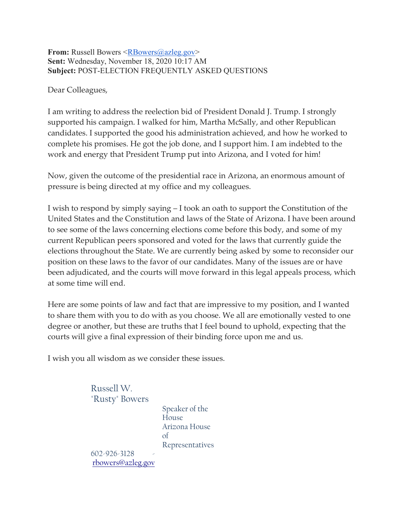#### **From:** Russell Bowers [<RBowers@azleg.gov>](mailto:RBowers@azleg.gov) **Sent:** Wednesday, November 18, 2020 10:17 AM **Subject:** POST-ELECTION FREQUENTLY ASKED QUESTIONS

Dear Colleagues,

I am writing to address the reelection bid of President Donald J. Trump. I strongly supported his campaign. I walked for him, Martha McSally, and other Republican candidates. I supported the good his administration achieved, and how he worked to complete his promises. He got the job done, and I support him. I am indebted to the work and energy that President Trump put into Arizona, and I voted for him!

Now, given the outcome of the presidential race in Arizona, an enormous amount of pressure is being directed at my office and my colleagues.

I wish to respond by simply saying – I took an oath to support the Constitution of the United States and the Constitution and laws of the State of Arizona. I have been around to see some of the laws concerning elections come before this body, and some of my current Republican peers sponsored and voted for the laws that currently guide the elections throughout the State. We are currently being asked by some to reconsider our position on these laws to the favor of our candidates. Many of the issues are or have been adjudicated, and the courts will move forward in this legal appeals process, which at some time will end.

Here are some points of law and fact that are impressive to my position, and I wanted to share them with you to do with as you choose. We all are emotionally vested to one degree or another, but these are truths that I feel bound to uphold, expecting that the courts will give a final expression of their binding force upon me and us.

I wish you all wisdom as we consider these issues.

Russell W. "Rusty" Bowers

> Speaker of the House Arizona House of Representatives

602-926-3128 [rbowers@azleg.gov](mailto:rbowers@azleg.gov)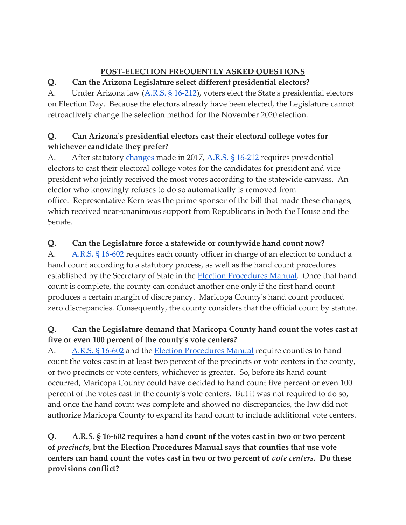# **POST-ELECTION FREQUENTLY ASKED QUESTIONS**

# **Q. Can the Arizona Legislature select different presidential electors?**

A. Under Arizona law [\(A.R.S. §](https://www.azleg.gov/ars/16/00212.htm) 16-212), voters elect the State's presidential electors on Election Day. Because the electors already have been elected, the Legislature cannot retroactively change the selection method for the November 2020 election.

# **Q. Can Arizona's presidential electors cast their electoral college votes for whichever candidate they prefer?**

A. After statutory [changes](https://www.azleg.gov/legtext/53leg/1R/laws/0094.pdf) made in 2017, [A.R.S. §](https://www.azleg.gov/ars/16/00212.htm) 16-212 requires presidential electors to cast their electoral college votes for the candidates for president and vice president who jointly received the most votes according to the statewide canvass. An elector who knowingly refuses to do so automatically is removed from office. Representative Kern was the prime sponsor of the bill that made these changes, which received near-unanimous support from Republicans in both the House and the Senate.

# **Q. Can the Legislature force a statewide or countywide hand count now?**

A. [A.R.S. §](https://www.azleg.gov/ars/16/00602.htm) 16-602 requires each county officer in charge of an election to conduct a hand count according to a statutory process, as well as the hand count procedures established by the Secretary of State in the **Election Procedures Manual**. Once that hand count is complete, the county can conduct another one only if the first hand count produces a certain margin of discrepancy. Maricopa County's hand count produced zero discrepancies. Consequently, the county considers that the official count by statute.

# **Q. Can the Legislature demand that Maricopa County hand count the votes cast at five or even 100 percent of the county's vote centers?**

A. [A.R.S. §](https://www.azleg.gov/ars/16/00602.htm) 16-602 and the [Election Procedures Manual](https://azsos.gov/sites/default/files/2019_ELECTIONS_PROCEDURES_MANUAL_APPROVED.pdf) require counties to hand count the votes cast in at least two percent of the precincts or vote centers in the county, or two precincts or vote centers, whichever is greater. So, before its hand count occurred, Maricopa County could have decided to hand count five percent or even 100 percent of the votes cast in the county's vote centers. But it was not required to do so, and once the hand count was complete and showed no discrepancies, the law did not authorize Maricopa County to expand its hand count to include additional vote centers.

**Q. A.R.S. § 16-602 requires a hand count of the votes cast in two or two percent of** *precincts***, but the Election Procedures Manual says that counties that use vote centers can hand count the votes cast in two or two percent of** *vote centers***. Do these provisions conflict?**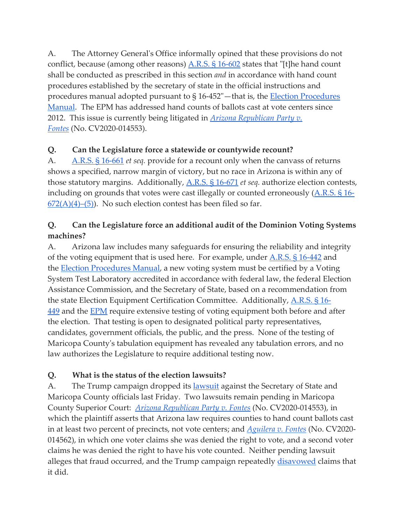A. The Attorney General's Office informally opined that these provisions do not conflict, because (among other reasons)  $\underline{A.R.S.S.S. S}$  16-602 states that "[t]he hand count shall be conducted as prescribed in this section *and* in accordance with hand count procedures established by the secretary of state in the official instructions and procedures manual adopted pursuant to § 16-452"—that is, the [Election Procedures](https://azsos.gov/sites/default/files/2019_ELECTIONS_PROCEDURES_MANUAL_APPROVED.pdf)  [Manual.](https://azsos.gov/sites/default/files/2019_ELECTIONS_PROCEDURES_MANUAL_APPROVED.pdf) The EPM has addressed hand counts of ballots cast at vote centers since 2012. This issue is currently being litigated in *[Arizona Republican Party v.](https://www.clerkofcourt.maricopa.gov/records/election-2020/cv2020-014553)  [Fontes](https://www.clerkofcourt.maricopa.gov/records/election-2020/cv2020-014553)* (No. CV2020-014553).

#### **Q. Can the Legislature force a statewide or countywide recount?**

A. [A.R.S. §](https://www.azleg.gov/ars/16/00661.htm) 16-661 *et seq.* provide for a recount only when the canvass of returns shows a specified, narrow margin of victory, but no race in Arizona is within any of those statutory margins. Additionally, [A.R.S. §](https://www.azleg.gov/ars/16/00671.htm) 16-671 *et seq.* authorize election contests, including on grounds that votes were cast illegally or counted erroneously  $(A.R.S.S. 616 672(A)(4)$ –(5)). No such election contest has been filed so far.

### **Q. Can the Legislature force an additional audit of the Dominion Voting Systems machines?**

A. Arizona law includes many safeguards for ensuring the reliability and integrity of the voting equipment that is used here. For example, under [A.R.S. §](https://www.azleg.gov/ars/16/00442.htm) 16-442 and the [Election Procedures Manual,](https://azsos.gov/sites/default/files/2019_ELECTIONS_PROCEDURES_MANUAL_APPROVED.pdf) a new voting system must be certified by a Voting System Test Laboratory accredited in accordance with federal law, the federal Election Assistance Commission, and the Secretary of State, based on a recommendation from the state Election Equipment Certification Committee. Additionally, [A.R.S. § 16-](https://www.azleg.gov/ars/16/00449.htm) [449](https://www.azleg.gov/ars/16/00449.htm) and the **[EPM](https://azsos.gov/sites/default/files/2019_ELECTIONS_PROCEDURES_MANUAL_APPROVED.pdf)** require extensive testing of voting equipment both before and after the election. That testing is open to designated political party representatives, candidates, government officials, the public, and the press. None of the testing of Maricopa County's tabulation equipment has revealed any tabulation errors, and no law authorizes the Legislature to require additional testing now.

# **Q. What is the status of the election lawsuits?**

A. The Trump campaign dropped its <u>[lawsuit](https://www.clerkofcourt.maricopa.gov/records/election-2020/cv2020-014248)</u> against the Secretary of State and Maricopa County officials last Friday. Two lawsuits remain pending in Maricopa County Superior Court: *[Arizona Republican Party v. Fontes](https://www.clerkofcourt.maricopa.gov/records/election-2020/cv2020-014553)* (No. CV2020-014553), in which the plaintiff asserts that Arizona law requires counties to hand count ballots cast in at least two percent of precincts, not vote centers; and *[Aguilera v. Fontes](https://www.clerkofcourt.maricopa.gov/records/election-2020/cv2020-14562)* (No. CV2020- 014562), in which one voter claims she was denied the right to vote, and a second voter claims he was denied the right to have his vote counted. Neither pending lawsuit alleges that fraud occurred, and the Trump campaign repeatedly [disavowed](https://www.azcentral.com/story/news/politics/elections/2020/11/12/maricopa-county-judge-hear-trump-team-case-maricopa-county-votes/6260414002/) claims that it did.